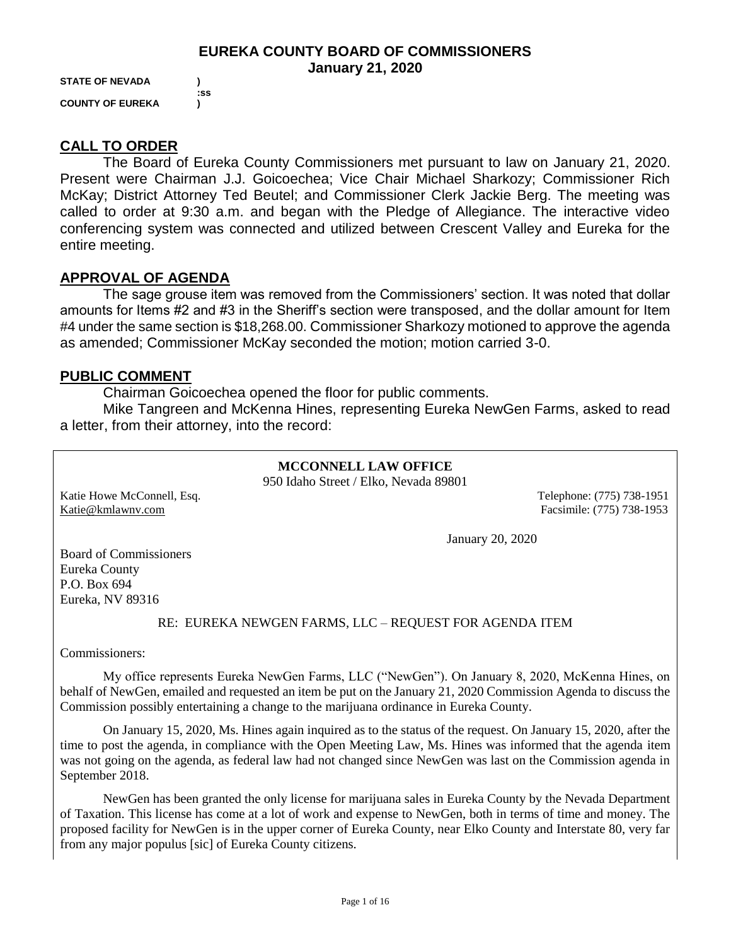#### **EUREKA COUNTY BOARD OF COMMISSIONERS January 21, 2020**

**STATE OF NEVADA ) COUNTY OF EUREKA )**

 **:ss**

### **CALL TO ORDER**

The Board of Eureka County Commissioners met pursuant to law on January 21, 2020. Present were Chairman J.J. Goicoechea; Vice Chair Michael Sharkozy; Commissioner Rich McKay; District Attorney Ted Beutel; and Commissioner Clerk Jackie Berg. The meeting was called to order at 9:30 a.m. and began with the Pledge of Allegiance. The interactive video conferencing system was connected and utilized between Crescent Valley and Eureka for the entire meeting.

### **APPROVAL OF AGENDA**

The sage grouse item was removed from the Commissioners' section. It was noted that dollar amounts for Items #2 and #3 in the Sheriff's section were transposed, and the dollar amount for Item #4 under the same section is \$18,268.00. Commissioner Sharkozy motioned to approve the agenda as amended; Commissioner McKay seconded the motion; motion carried 3-0.

### **PUBLIC COMMENT**

Chairman Goicoechea opened the floor for public comments.

Mike Tangreen and McKenna Hines, representing Eureka NewGen Farms, asked to read a letter, from their attorney, into the record:

#### **MCCONNELL LAW OFFICE** 950 Idaho Street / Elko, Nevada 89801

Katie Howe McConnell, Esq. 2003. Telephone: (775) 738-1951 [Katie@kmlawnv.com](mailto:Katie@kmlawnv.com) Facsimile: (775) 738-1953

January 20, 2020

Board of Commissioners Eureka County P.O. Box 694 Eureka, NV 89316

#### RE: EUREKA NEWGEN FARMS, LLC – REQUEST FOR AGENDA ITEM

Commissioners:

My office represents Eureka NewGen Farms, LLC ("NewGen"). On January 8, 2020, McKenna Hines, on behalf of NewGen, emailed and requested an item be put on the January 21, 2020 Commission Agenda to discuss the Commission possibly entertaining a change to the marijuana ordinance in Eureka County.

On January 15, 2020, Ms. Hines again inquired as to the status of the request. On January 15, 2020, after the time to post the agenda, in compliance with the Open Meeting Law, Ms. Hines was informed that the agenda item was not going on the agenda, as federal law had not changed since NewGen was last on the Commission agenda in September 2018.

NewGen has been granted the only license for marijuana sales in Eureka County by the Nevada Department of Taxation. This license has come at a lot of work and expense to NewGen, both in terms of time and money. The proposed facility for NewGen is in the upper corner of Eureka County, near Elko County and Interstate 80, very far from any major populus [sic] of Eureka County citizens.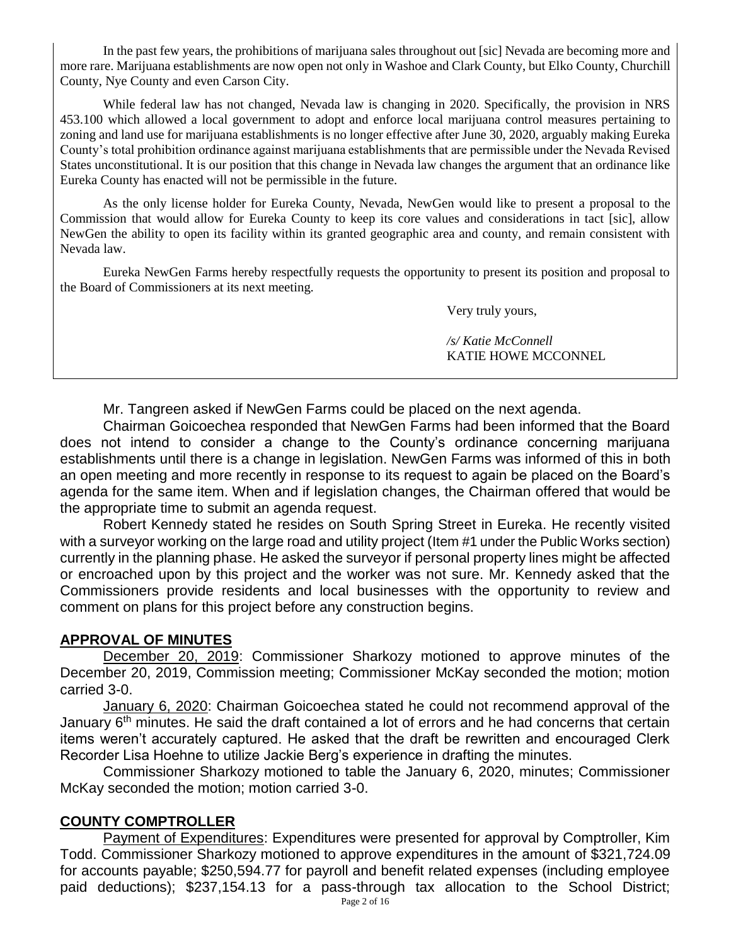In the past few years, the prohibitions of marijuana sales throughout out [sic] Nevada are becoming more and more rare. Marijuana establishments are now open not only in Washoe and Clark County, but Elko County, Churchill County, Nye County and even Carson City.

While federal law has not changed, Nevada law is changing in 2020. Specifically, the provision in NRS 453.100 which allowed a local government to adopt and enforce local marijuana control measures pertaining to zoning and land use for marijuana establishments is no longer effective after June 30, 2020, arguably making Eureka County's total prohibition ordinance against marijuana establishments that are permissible under the Nevada Revised States unconstitutional. It is our position that this change in Nevada law changes the argument that an ordinance like Eureka County has enacted will not be permissible in the future.

As the only license holder for Eureka County, Nevada, NewGen would like to present a proposal to the Commission that would allow for Eureka County to keep its core values and considerations in tact [sic], allow NewGen the ability to open its facility within its granted geographic area and county, and remain consistent with Nevada law.

Eureka NewGen Farms hereby respectfully requests the opportunity to present its position and proposal to the Board of Commissioners at its next meeting.

Very truly yours,

*/s/ Katie McConnell* KATIE HOWE MCCONNEL

Mr. Tangreen asked if NewGen Farms could be placed on the next agenda.

Chairman Goicoechea responded that NewGen Farms had been informed that the Board does not intend to consider a change to the County's ordinance concerning marijuana establishments until there is a change in legislation. NewGen Farms was informed of this in both an open meeting and more recently in response to its request to again be placed on the Board's agenda for the same item. When and if legislation changes, the Chairman offered that would be the appropriate time to submit an agenda request.

Robert Kennedy stated he resides on South Spring Street in Eureka. He recently visited with a surveyor working on the large road and utility project (Item #1 under the Public Works section) currently in the planning phase. He asked the surveyor if personal property lines might be affected or encroached upon by this project and the worker was not sure. Mr. Kennedy asked that the Commissioners provide residents and local businesses with the opportunity to review and comment on plans for this project before any construction begins.

# **APPROVAL OF MINUTES**

December 20, 2019: Commissioner Sharkozy motioned to approve minutes of the December 20, 2019, Commission meeting; Commissioner McKay seconded the motion; motion carried 3-0.

January 6, 2020: Chairman Goicoechea stated he could not recommend approval of the January  $6<sup>th</sup>$  minutes. He said the draft contained a lot of errors and he had concerns that certain items weren't accurately captured. He asked that the draft be rewritten and encouraged Clerk Recorder Lisa Hoehne to utilize Jackie Berg's experience in drafting the minutes.

Commissioner Sharkozy motioned to table the January 6, 2020, minutes; Commissioner McKay seconded the motion; motion carried 3-0.

# **COUNTY COMPTROLLER**

Payment of Expenditures: Expenditures were presented for approval by Comptroller, Kim Todd. Commissioner Sharkozy motioned to approve expenditures in the amount of \$321,724.09 for accounts payable; \$250,594.77 for payroll and benefit related expenses (including employee paid deductions); \$237,154.13 for a pass-through tax allocation to the School District;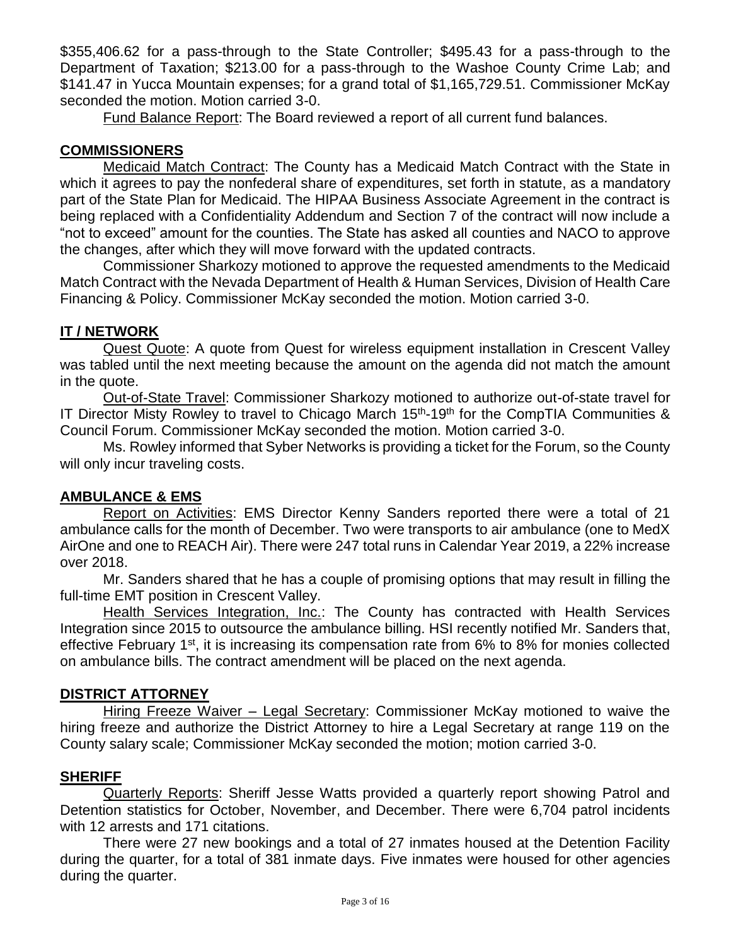\$355,406.62 for a pass-through to the State Controller; \$495.43 for a pass-through to the Department of Taxation; \$213.00 for a pass-through to the Washoe County Crime Lab; and \$141.47 in Yucca Mountain expenses; for a grand total of \$1,165,729.51. Commissioner McKay seconded the motion. Motion carried 3-0.

Fund Balance Report: The Board reviewed a report of all current fund balances.

## **COMMISSIONERS**

Medicaid Match Contract: The County has a Medicaid Match Contract with the State in which it agrees to pay the nonfederal share of expenditures, set forth in statute, as a mandatory part of the State Plan for Medicaid. The HIPAA Business Associate Agreement in the contract is being replaced with a Confidentiality Addendum and Section 7 of the contract will now include a "not to exceed" amount for the counties. The State has asked all counties and NACO to approve the changes, after which they will move forward with the updated contracts.

Commissioner Sharkozy motioned to approve the requested amendments to the Medicaid Match Contract with the Nevada Department of Health & Human Services, Division of Health Care Financing & Policy. Commissioner McKay seconded the motion. Motion carried 3-0.

## **IT / NETWORK**

Quest Quote: A quote from Quest for wireless equipment installation in Crescent Valley was tabled until the next meeting because the amount on the agenda did not match the amount in the quote.

Out-of-State Travel: Commissioner Sharkozy motioned to authorize out-of-state travel for IT Director Misty Rowley to travel to Chicago March 15<sup>th</sup>-19<sup>th</sup> for the CompTIA Communities & Council Forum. Commissioner McKay seconded the motion. Motion carried 3-0.

Ms. Rowley informed that Syber Networks is providing a ticket for the Forum, so the County will only incur traveling costs.

### **AMBULANCE & EMS**

Report on Activities: EMS Director Kenny Sanders reported there were a total of 21 ambulance calls for the month of December. Two were transports to air ambulance (one to MedX AirOne and one to REACH Air). There were 247 total runs in Calendar Year 2019, a 22% increase over 2018.

Mr. Sanders shared that he has a couple of promising options that may result in filling the full-time EMT position in Crescent Valley.

Health Services Integration, Inc.: The County has contracted with Health Services Integration since 2015 to outsource the ambulance billing. HSI recently notified Mr. Sanders that, effective February 1<sup>st</sup>, it is increasing its compensation rate from 6% to 8% for monies collected on ambulance bills. The contract amendment will be placed on the next agenda.

### **DISTRICT ATTORNEY**

Hiring Freeze Waiver – Legal Secretary: Commissioner McKay motioned to waive the hiring freeze and authorize the District Attorney to hire a Legal Secretary at range 119 on the County salary scale; Commissioner McKay seconded the motion; motion carried 3-0.

# **SHERIFF**

Quarterly Reports: Sheriff Jesse Watts provided a quarterly report showing Patrol and Detention statistics for October, November, and December. There were 6,704 patrol incidents with 12 arrests and 171 citations.

There were 27 new bookings and a total of 27 inmates housed at the Detention Facility during the quarter, for a total of 381 inmate days. Five inmates were housed for other agencies during the quarter.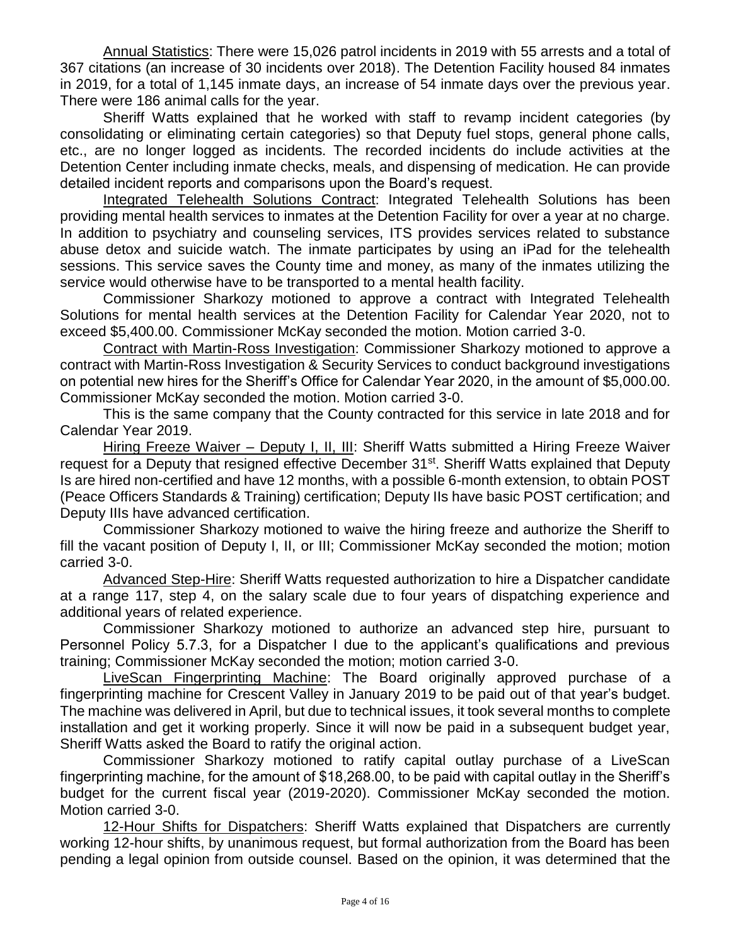Annual Statistics: There were 15,026 patrol incidents in 2019 with 55 arrests and a total of 367 citations (an increase of 30 incidents over 2018). The Detention Facility housed 84 inmates in 2019, for a total of 1,145 inmate days, an increase of 54 inmate days over the previous year. There were 186 animal calls for the year.

Sheriff Watts explained that he worked with staff to revamp incident categories (by consolidating or eliminating certain categories) so that Deputy fuel stops, general phone calls, etc., are no longer logged as incidents. The recorded incidents do include activities at the Detention Center including inmate checks, meals, and dispensing of medication. He can provide detailed incident reports and comparisons upon the Board's request.

Integrated Telehealth Solutions Contract: Integrated Telehealth Solutions has been providing mental health services to inmates at the Detention Facility for over a year at no charge. In addition to psychiatry and counseling services, ITS provides services related to substance abuse detox and suicide watch. The inmate participates by using an iPad for the telehealth sessions. This service saves the County time and money, as many of the inmates utilizing the service would otherwise have to be transported to a mental health facility.

Commissioner Sharkozy motioned to approve a contract with Integrated Telehealth Solutions for mental health services at the Detention Facility for Calendar Year 2020, not to exceed \$5,400.00. Commissioner McKay seconded the motion. Motion carried 3-0.

Contract with Martin-Ross Investigation: Commissioner Sharkozy motioned to approve a contract with Martin-Ross Investigation & Security Services to conduct background investigations on potential new hires for the Sheriff's Office for Calendar Year 2020, in the amount of \$5,000.00. Commissioner McKay seconded the motion. Motion carried 3-0.

This is the same company that the County contracted for this service in late 2018 and for Calendar Year 2019.

Hiring Freeze Waiver – Deputy I, II, III: Sheriff Watts submitted a Hiring Freeze Waiver request for a Deputy that resigned effective December 31<sup>st</sup>. Sheriff Watts explained that Deputy Is are hired non-certified and have 12 months, with a possible 6-month extension, to obtain POST (Peace Officers Standards & Training) certification; Deputy IIs have basic POST certification; and Deputy IIIs have advanced certification.

Commissioner Sharkozy motioned to waive the hiring freeze and authorize the Sheriff to fill the vacant position of Deputy I, II, or III; Commissioner McKay seconded the motion; motion carried 3-0.

Advanced Step-Hire: Sheriff Watts requested authorization to hire a Dispatcher candidate at a range 117, step 4, on the salary scale due to four years of dispatching experience and additional years of related experience.

Commissioner Sharkozy motioned to authorize an advanced step hire, pursuant to Personnel Policy 5.7.3, for a Dispatcher I due to the applicant's qualifications and previous training; Commissioner McKay seconded the motion; motion carried 3-0.

LiveScan Fingerprinting Machine: The Board originally approved purchase of a fingerprinting machine for Crescent Valley in January 2019 to be paid out of that year's budget. The machine was delivered in April, but due to technical issues, it took several months to complete installation and get it working properly. Since it will now be paid in a subsequent budget year, Sheriff Watts asked the Board to ratify the original action.

Commissioner Sharkozy motioned to ratify capital outlay purchase of a LiveScan fingerprinting machine, for the amount of \$18,268.00, to be paid with capital outlay in the Sheriff's budget for the current fiscal year (2019-2020). Commissioner McKay seconded the motion. Motion carried 3-0.

12-Hour Shifts for Dispatchers: Sheriff Watts explained that Dispatchers are currently working 12-hour shifts, by unanimous request, but formal authorization from the Board has been pending a legal opinion from outside counsel. Based on the opinion, it was determined that the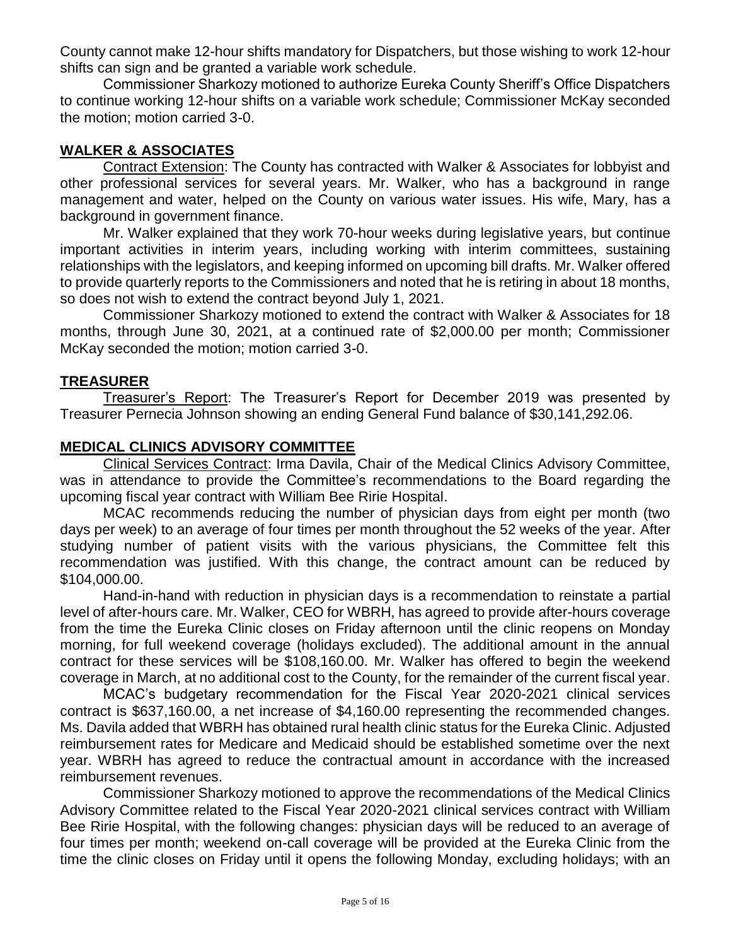County cannot make 12-hour shifts mandatory for Dispatchers, but those wishing to work 12-hour shifts can sign and be granted a variable work schedule.

Commissioner Sharkozy motioned to authorize Eureka County Sheriff's Office Dispatchers to continue working 12-hour shifts on a variable work schedule; Commissioner McKay seconded the motion; motion carried 3-0.

## **WALKER & ASSOCIATES**

Contract Extension: The County has contracted with Walker & Associates for lobbyist and other professional services for several years. Mr. Walker, who has a background in range management and water, helped on the County on various water issues. His wife, Mary, has a background in government finance.

Mr. Walker explained that they work 70-hour weeks during legislative years, but continue important activities in interim years, including working with interim committees, sustaining relationships with the legislators, and keeping informed on upcoming bill drafts. Mr. Walker offered to provide quarterly reports to the Commissioners and noted that he is retiring in about 18 months, so does not wish to extend the contract beyond July 1, 2021.

Commissioner Sharkozy motioned to extend the contract with Walker & Associates for 18 months, through June 30, 2021, at a continued rate of \$2,000.00 per month; Commissioner McKay seconded the motion; motion carried 3-0.

### **TREASURER**

Treasurer's Report: The Treasurer's Report for December 2019 was presented by Treasurer Pernecia Johnson showing an ending General Fund balance of \$30,141,292.06.

### **MEDICAL CLINICS ADVISORY COMMITTEE**

Clinical Services Contract: Irma Davila, Chair of the Medical Clinics Advisory Committee, was in attendance to provide the Committee's recommendations to the Board regarding the upcoming fiscal year contract with William Bee Ririe Hospital.

MCAC recommends reducing the number of physician days from eight per month (two days per week) to an average of four times per month throughout the 52 weeks of the year. After studying number of patient visits with the various physicians, the Committee felt this recommendation was justified. With this change, the contract amount can be reduced by \$104,000.00.

Hand-in-hand with reduction in physician days is a recommendation to reinstate a partial level of after-hours care. Mr. Walker, CEO for WBRH, has agreed to provide after-hours coverage from the time the Eureka Clinic closes on Friday afternoon until the clinic reopens on Monday morning, for full weekend coverage (holidays excluded). The additional amount in the annual contract for these services will be \$108,160.00. Mr. Walker has offered to begin the weekend coverage in March, at no additional cost to the County, for the remainder of the current fiscal year.

MCAC's budgetary recommendation for the Fiscal Year 2020-2021 clinical services contract is \$637,160.00, a net increase of \$4,160.00 representing the recommended changes. Ms. Davila added that WBRH has obtained rural health clinic status for the Eureka Clinic. Adjusted reimbursement rates for Medicare and Medicaid should be established sometime over the next year. WBRH has agreed to reduce the contractual amount in accordance with the increased reimbursement revenues.

Commissioner Sharkozy motioned to approve the recommendations of the Medical Clinics Advisory Committee related to the Fiscal Year 2020-2021 clinical services contract with William Bee Ririe Hospital, with the following changes: physician days will be reduced to an average of four times per month; weekend on-call coverage will be provided at the Eureka Clinic from the time the clinic closes on Friday until it opens the following Monday, excluding holidays; with an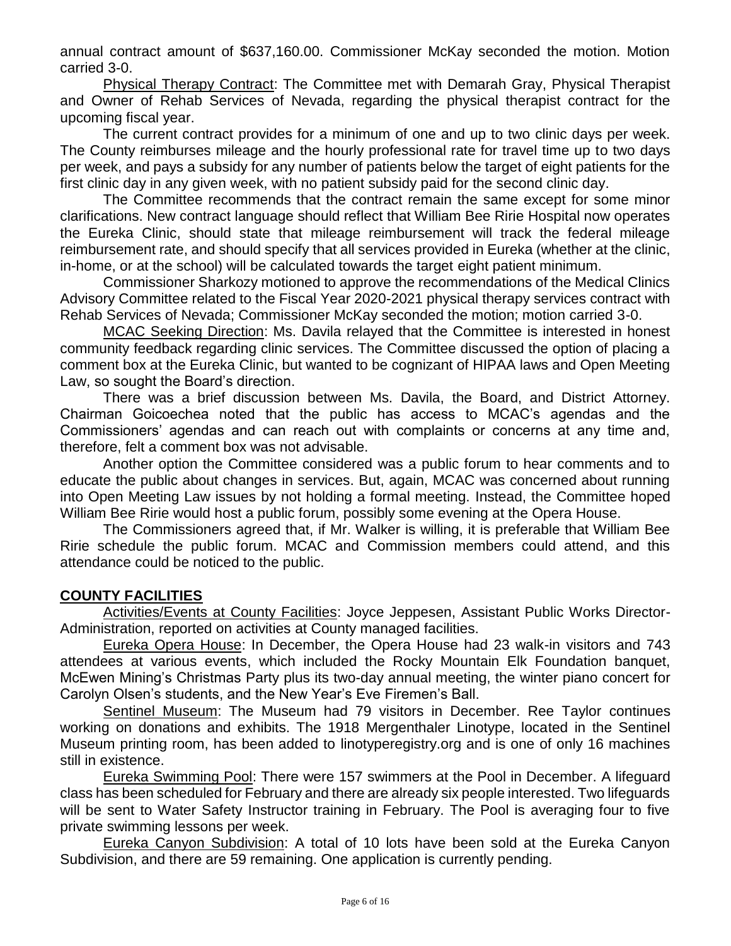annual contract amount of \$637,160.00. Commissioner McKay seconded the motion. Motion carried 3-0.

Physical Therapy Contract: The Committee met with Demarah Gray, Physical Therapist and Owner of Rehab Services of Nevada, regarding the physical therapist contract for the upcoming fiscal year.

The current contract provides for a minimum of one and up to two clinic days per week. The County reimburses mileage and the hourly professional rate for travel time up to two days per week, and pays a subsidy for any number of patients below the target of eight patients for the first clinic day in any given week, with no patient subsidy paid for the second clinic day.

The Committee recommends that the contract remain the same except for some minor clarifications. New contract language should reflect that William Bee Ririe Hospital now operates the Eureka Clinic, should state that mileage reimbursement will track the federal mileage reimbursement rate, and should specify that all services provided in Eureka (whether at the clinic, in-home, or at the school) will be calculated towards the target eight patient minimum.

Commissioner Sharkozy motioned to approve the recommendations of the Medical Clinics Advisory Committee related to the Fiscal Year 2020-2021 physical therapy services contract with Rehab Services of Nevada; Commissioner McKay seconded the motion; motion carried 3-0.

MCAC Seeking Direction: Ms. Davila relayed that the Committee is interested in honest community feedback regarding clinic services. The Committee discussed the option of placing a comment box at the Eureka Clinic, but wanted to be cognizant of HIPAA laws and Open Meeting Law, so sought the Board's direction.

There was a brief discussion between Ms. Davila, the Board, and District Attorney. Chairman Goicoechea noted that the public has access to MCAC's agendas and the Commissioners' agendas and can reach out with complaints or concerns at any time and, therefore, felt a comment box was not advisable.

Another option the Committee considered was a public forum to hear comments and to educate the public about changes in services. But, again, MCAC was concerned about running into Open Meeting Law issues by not holding a formal meeting. Instead, the Committee hoped William Bee Ririe would host a public forum, possibly some evening at the Opera House.

The Commissioners agreed that, if Mr. Walker is willing, it is preferable that William Bee Ririe schedule the public forum. MCAC and Commission members could attend, and this attendance could be noticed to the public.

### **COUNTY FACILITIES**

Activities/Events at County Facilities: Joyce Jeppesen, Assistant Public Works Director-Administration, reported on activities at County managed facilities.

Eureka Opera House: In December, the Opera House had 23 walk-in visitors and 743 attendees at various events, which included the Rocky Mountain Elk Foundation banquet, McEwen Mining's Christmas Party plus its two-day annual meeting, the winter piano concert for Carolyn Olsen's students, and the New Year's Eve Firemen's Ball.

Sentinel Museum: The Museum had 79 visitors in December. Ree Taylor continues working on donations and exhibits. The 1918 Mergenthaler Linotype, located in the Sentinel Museum printing room, has been added to linotyperegistry.org and is one of only 16 machines still in existence.

Eureka Swimming Pool: There were 157 swimmers at the Pool in December. A lifeguard class has been scheduled for February and there are already six people interested. Two lifeguards will be sent to Water Safety Instructor training in February. The Pool is averaging four to five private swimming lessons per week.

Eureka Canyon Subdivision: A total of 10 lots have been sold at the Eureka Canyon Subdivision, and there are 59 remaining. One application is currently pending.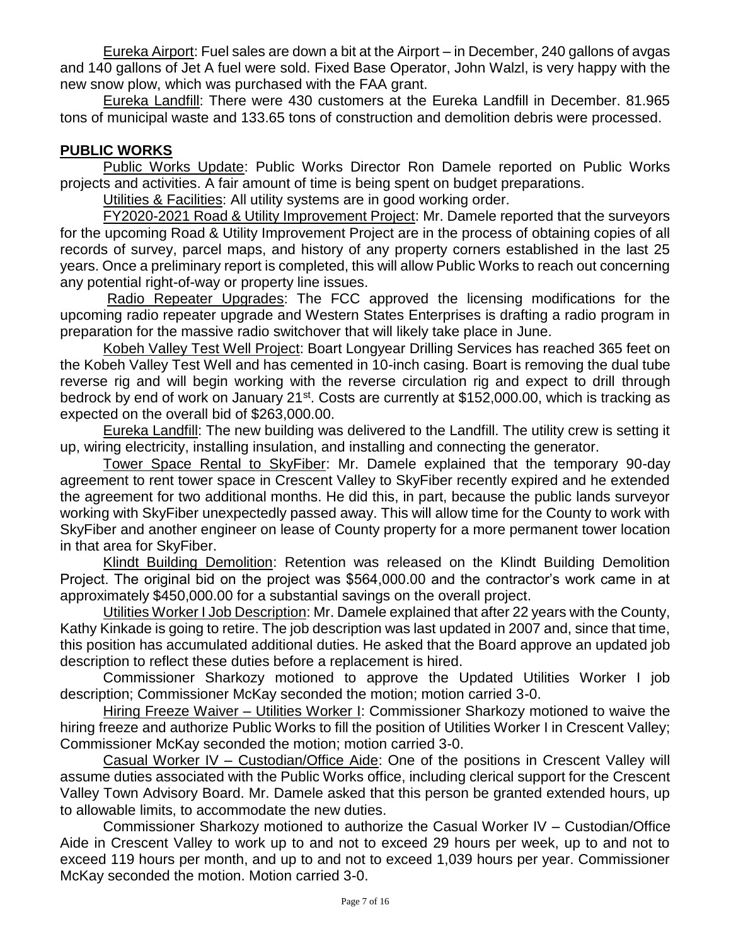Eureka Airport: Fuel sales are down a bit at the Airport – in December, 240 gallons of avgas and 140 gallons of Jet A fuel were sold. Fixed Base Operator, John Walzl, is very happy with the new snow plow, which was purchased with the FAA grant.

Eureka Landfill: There were 430 customers at the Eureka Landfill in December. 81.965 tons of municipal waste and 133.65 tons of construction and demolition debris were processed.

## **PUBLIC WORKS**

Public Works Update: Public Works Director Ron Damele reported on Public Works projects and activities. A fair amount of time is being spent on budget preparations.

Utilities & Facilities: All utility systems are in good working order.

FY2020-2021 Road & Utility Improvement Project: Mr. Damele reported that the surveyors for the upcoming Road & Utility Improvement Project are in the process of obtaining copies of all records of survey, parcel maps, and history of any property corners established in the last 25 years. Once a preliminary report is completed, this will allow Public Works to reach out concerning any potential right-of-way or property line issues.

Radio Repeater Upgrades: The FCC approved the licensing modifications for the upcoming radio repeater upgrade and Western States Enterprises is drafting a radio program in preparation for the massive radio switchover that will likely take place in June.

Kobeh Valley Test Well Project: Boart Longyear Drilling Services has reached 365 feet on the Kobeh Valley Test Well and has cemented in 10-inch casing. Boart is removing the dual tube reverse rig and will begin working with the reverse circulation rig and expect to drill through bedrock by end of work on January 21<sup>st</sup>. Costs are currently at \$152,000.00, which is tracking as expected on the overall bid of \$263,000.00.

Eureka Landfill: The new building was delivered to the Landfill. The utility crew is setting it up, wiring electricity, installing insulation, and installing and connecting the generator.

Tower Space Rental to SkyFiber: Mr. Damele explained that the temporary 90-day agreement to rent tower space in Crescent Valley to SkyFiber recently expired and he extended the agreement for two additional months. He did this, in part, because the public lands surveyor working with SkyFiber unexpectedly passed away. This will allow time for the County to work with SkyFiber and another engineer on lease of County property for a more permanent tower location in that area for SkyFiber.

Klindt Building Demolition: Retention was released on the Klindt Building Demolition Project. The original bid on the project was \$564,000.00 and the contractor's work came in at approximately \$450,000.00 for a substantial savings on the overall project.

Utilities Worker I Job Description: Mr. Damele explained that after 22 years with the County, Kathy Kinkade is going to retire. The job description was last updated in 2007 and, since that time, this position has accumulated additional duties. He asked that the Board approve an updated job description to reflect these duties before a replacement is hired.

Commissioner Sharkozy motioned to approve the Updated Utilities Worker I job description; Commissioner McKay seconded the motion; motion carried 3-0.

Hiring Freeze Waiver – Utilities Worker I: Commissioner Sharkozy motioned to waive the hiring freeze and authorize Public Works to fill the position of Utilities Worker I in Crescent Valley; Commissioner McKay seconded the motion; motion carried 3-0.

Casual Worker IV – Custodian/Office Aide: One of the positions in Crescent Valley will assume duties associated with the Public Works office, including clerical support for the Crescent Valley Town Advisory Board. Mr. Damele asked that this person be granted extended hours, up to allowable limits, to accommodate the new duties.

Commissioner Sharkozy motioned to authorize the Casual Worker IV – Custodian/Office Aide in Crescent Valley to work up to and not to exceed 29 hours per week, up to and not to exceed 119 hours per month, and up to and not to exceed 1,039 hours per year. Commissioner McKay seconded the motion. Motion carried 3-0.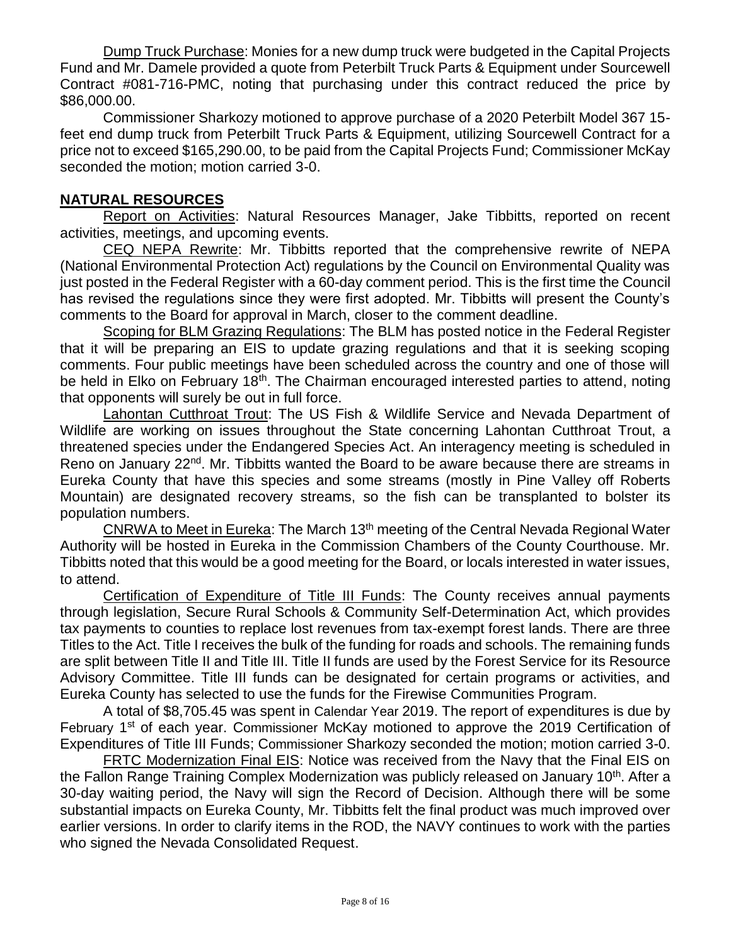Dump Truck Purchase: Monies for a new dump truck were budgeted in the Capital Projects Fund and Mr. Damele provided a quote from Peterbilt Truck Parts & Equipment under Sourcewell Contract #081-716-PMC, noting that purchasing under this contract reduced the price by \$86,000.00.

Commissioner Sharkozy motioned to approve purchase of a 2020 Peterbilt Model 367 15 feet end dump truck from Peterbilt Truck Parts & Equipment, utilizing Sourcewell Contract for a price not to exceed \$165,290.00, to be paid from the Capital Projects Fund; Commissioner McKay seconded the motion; motion carried 3-0.

## **NATURAL RESOURCES**

Report on Activities: Natural Resources Manager, Jake Tibbitts, reported on recent activities, meetings, and upcoming events.

CEQ NEPA Rewrite: Mr. Tibbitts reported that the comprehensive rewrite of NEPA (National Environmental Protection Act) regulations by the Council on Environmental Quality was just posted in the Federal Register with a 60-day comment period. This is the first time the Council has revised the regulations since they were first adopted. Mr. Tibbitts will present the County's comments to the Board for approval in March, closer to the comment deadline.

Scoping for BLM Grazing Regulations: The BLM has posted notice in the Federal Register that it will be preparing an EIS to update grazing regulations and that it is seeking scoping comments. Four public meetings have been scheduled across the country and one of those will be held in Elko on February 18<sup>th</sup>. The Chairman encouraged interested parties to attend, noting that opponents will surely be out in full force.

Lahontan Cutthroat Trout: The US Fish & Wildlife Service and Nevada Department of Wildlife are working on issues throughout the State concerning Lahontan Cutthroat Trout, a threatened species under the Endangered Species Act. An interagency meeting is scheduled in Reno on January 22<sup>nd</sup>. Mr. Tibbitts wanted the Board to be aware because there are streams in Eureka County that have this species and some streams (mostly in Pine Valley off Roberts Mountain) are designated recovery streams, so the fish can be transplanted to bolster its population numbers.

CNRWA to Meet in Eureka: The March 13th meeting of the Central Nevada Regional Water Authority will be hosted in Eureka in the Commission Chambers of the County Courthouse. Mr. Tibbitts noted that this would be a good meeting for the Board, or locals interested in water issues, to attend.

Certification of Expenditure of Title III Funds: The County receives annual payments through legislation, Secure Rural Schools & Community Self-Determination Act, which provides tax payments to counties to replace lost revenues from tax-exempt forest lands. There are three Titles to the Act. Title I receives the bulk of the funding for roads and schools. The remaining funds are split between Title II and Title III. Title II funds are used by the Forest Service for its Resource Advisory Committee. Title III funds can be designated for certain programs or activities, and Eureka County has selected to use the funds for the Firewise Communities Program.

A total of \$8,705.45 was spent in Calendar Year 2019. The report of expenditures is due by February 1<sup>st</sup> of each year. Commissioner McKay motioned to approve the 2019 Certification of Expenditures of Title III Funds; Commissioner Sharkozy seconded the motion; motion carried 3-0.

FRTC Modernization Final EIS: Notice was received from the Navy that the Final EIS on the Fallon Range Training Complex Modernization was publicly released on January 10<sup>th</sup>. After a 30-day waiting period, the Navy will sign the Record of Decision. Although there will be some substantial impacts on Eureka County, Mr. Tibbitts felt the final product was much improved over earlier versions. In order to clarify items in the ROD, the NAVY continues to work with the parties who signed the Nevada Consolidated Request.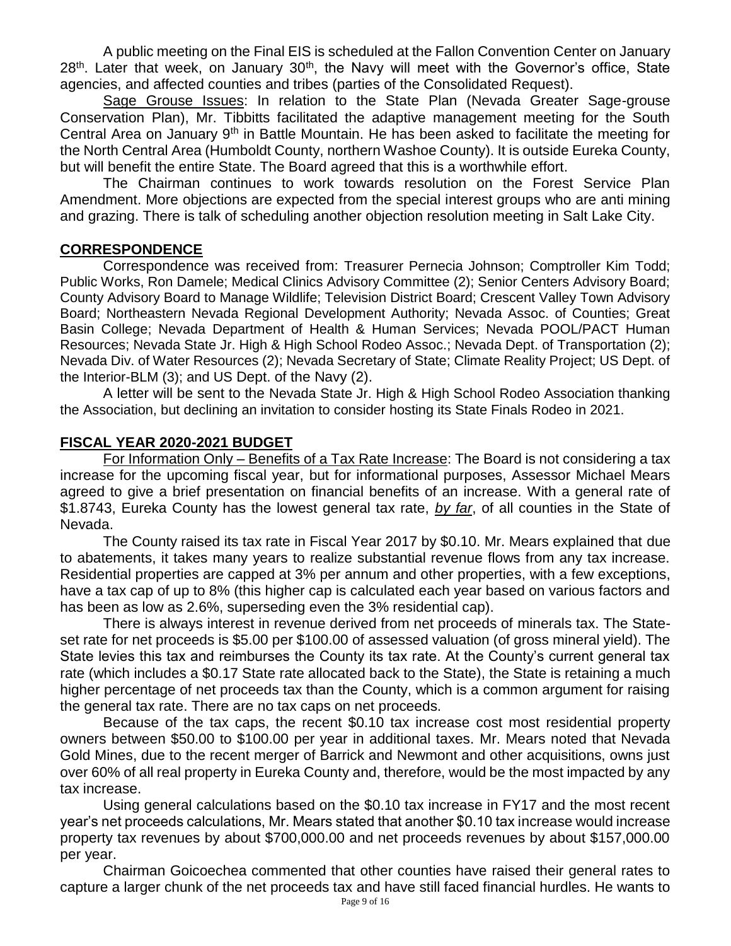A public meeting on the Final EIS is scheduled at the Fallon Convention Center on January  $28<sup>th</sup>$ . Later that week, on January  $30<sup>th</sup>$ , the Navy will meet with the Governor's office, State agencies, and affected counties and tribes (parties of the Consolidated Request).

Sage Grouse Issues: In relation to the State Plan (Nevada Greater Sage-grouse Conservation Plan), Mr. Tibbitts facilitated the adaptive management meeting for the South Central Area on January 9th in Battle Mountain. He has been asked to facilitate the meeting for the North Central Area (Humboldt County, northern Washoe County). It is outside Eureka County, but will benefit the entire State. The Board agreed that this is a worthwhile effort.

The Chairman continues to work towards resolution on the Forest Service Plan Amendment. More objections are expected from the special interest groups who are anti mining and grazing. There is talk of scheduling another objection resolution meeting in Salt Lake City.

### **CORRESPONDENCE**

Correspondence was received from: Treasurer Pernecia Johnson; Comptroller Kim Todd; Public Works, Ron Damele; Medical Clinics Advisory Committee (2); Senior Centers Advisory Board; County Advisory Board to Manage Wildlife; Television District Board; Crescent Valley Town Advisory Board; Northeastern Nevada Regional Development Authority; Nevada Assoc. of Counties; Great Basin College; Nevada Department of Health & Human Services; Nevada POOL/PACT Human Resources; Nevada State Jr. High & High School Rodeo Assoc.; Nevada Dept. of Transportation (2); Nevada Div. of Water Resources (2); Nevada Secretary of State; Climate Reality Project; US Dept. of the Interior-BLM (3); and US Dept. of the Navy (2).

A letter will be sent to the Nevada State Jr. High & High School Rodeo Association thanking the Association, but declining an invitation to consider hosting its State Finals Rodeo in 2021.

## **FISCAL YEAR 2020-2021 BUDGET**

For Information Only – Benefits of a Tax Rate Increase: The Board is not considering a tax increase for the upcoming fiscal year, but for informational purposes, Assessor Michael Mears agreed to give a brief presentation on financial benefits of an increase. With a general rate of \$1.8743, Eureka County has the lowest general tax rate, *by far*, of all counties in the State of Nevada.

The County raised its tax rate in Fiscal Year 2017 by \$0.10. Mr. Mears explained that due to abatements, it takes many years to realize substantial revenue flows from any tax increase. Residential properties are capped at 3% per annum and other properties, with a few exceptions, have a tax cap of up to 8% (this higher cap is calculated each year based on various factors and has been as low as 2.6%, superseding even the 3% residential cap).

There is always interest in revenue derived from net proceeds of minerals tax. The Stateset rate for net proceeds is \$5.00 per \$100.00 of assessed valuation (of gross mineral yield). The State levies this tax and reimburses the County its tax rate. At the County's current general tax rate (which includes a \$0.17 State rate allocated back to the State), the State is retaining a much higher percentage of net proceeds tax than the County, which is a common argument for raising the general tax rate. There are no tax caps on net proceeds.

Because of the tax caps, the recent \$0.10 tax increase cost most residential property owners between \$50.00 to \$100.00 per year in additional taxes. Mr. Mears noted that Nevada Gold Mines, due to the recent merger of Barrick and Newmont and other acquisitions, owns just over 60% of all real property in Eureka County and, therefore, would be the most impacted by any tax increase.

Using general calculations based on the \$0.10 tax increase in FY17 and the most recent year's net proceeds calculations, Mr. Mears stated that another \$0.10 tax increase would increase property tax revenues by about \$700,000.00 and net proceeds revenues by about \$157,000.00 per year.

Chairman Goicoechea commented that other counties have raised their general rates to capture a larger chunk of the net proceeds tax and have still faced financial hurdles. He wants to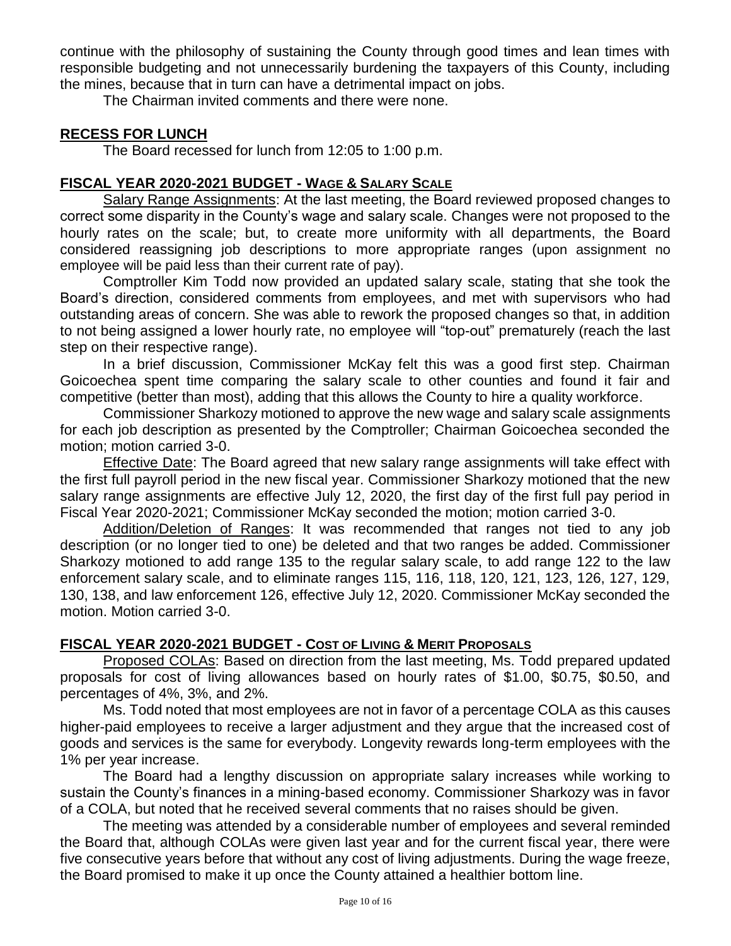continue with the philosophy of sustaining the County through good times and lean times with responsible budgeting and not unnecessarily burdening the taxpayers of this County, including the mines, because that in turn can have a detrimental impact on jobs.

The Chairman invited comments and there were none.

### **RECESS FOR LUNCH**

The Board recessed for lunch from 12:05 to 1:00 p.m.

## **FISCAL YEAR 2020-2021 BUDGET - WAGE & SALARY SCALE**

Salary Range Assignments: At the last meeting, the Board reviewed proposed changes to correct some disparity in the County's wage and salary scale. Changes were not proposed to the hourly rates on the scale; but, to create more uniformity with all departments, the Board considered reassigning job descriptions to more appropriate ranges (upon assignment no employee will be paid less than their current rate of pay).

Comptroller Kim Todd now provided an updated salary scale, stating that she took the Board's direction, considered comments from employees, and met with supervisors who had outstanding areas of concern. She was able to rework the proposed changes so that, in addition to not being assigned a lower hourly rate, no employee will "top-out" prematurely (reach the last step on their respective range).

In a brief discussion, Commissioner McKay felt this was a good first step. Chairman Goicoechea spent time comparing the salary scale to other counties and found it fair and competitive (better than most), adding that this allows the County to hire a quality workforce.

Commissioner Sharkozy motioned to approve the new wage and salary scale assignments for each job description as presented by the Comptroller; Chairman Goicoechea seconded the motion; motion carried 3-0.

Effective Date: The Board agreed that new salary range assignments will take effect with the first full payroll period in the new fiscal year. Commissioner Sharkozy motioned that the new salary range assignments are effective July 12, 2020, the first day of the first full pay period in Fiscal Year 2020-2021; Commissioner McKay seconded the motion; motion carried 3-0.

Addition/Deletion of Ranges: It was recommended that ranges not tied to any job description (or no longer tied to one) be deleted and that two ranges be added. Commissioner Sharkozy motioned to add range 135 to the regular salary scale, to add range 122 to the law enforcement salary scale, and to eliminate ranges 115, 116, 118, 120, 121, 123, 126, 127, 129, 130, 138, and law enforcement 126, effective July 12, 2020. Commissioner McKay seconded the motion. Motion carried 3-0.

### **FISCAL YEAR 2020-2021 BUDGET - COST OF LIVING & MERIT PROPOSALS**

Proposed COLAs: Based on direction from the last meeting, Ms. Todd prepared updated proposals for cost of living allowances based on hourly rates of \$1.00, \$0.75, \$0.50, and percentages of 4%, 3%, and 2%.

Ms. Todd noted that most employees are not in favor of a percentage COLA as this causes higher-paid employees to receive a larger adjustment and they argue that the increased cost of goods and services is the same for everybody. Longevity rewards long-term employees with the 1% per year increase.

The Board had a lengthy discussion on appropriate salary increases while working to sustain the County's finances in a mining-based economy. Commissioner Sharkozy was in favor of a COLA, but noted that he received several comments that no raises should be given.

The meeting was attended by a considerable number of employees and several reminded the Board that, although COLAs were given last year and for the current fiscal year, there were five consecutive years before that without any cost of living adjustments. During the wage freeze, the Board promised to make it up once the County attained a healthier bottom line.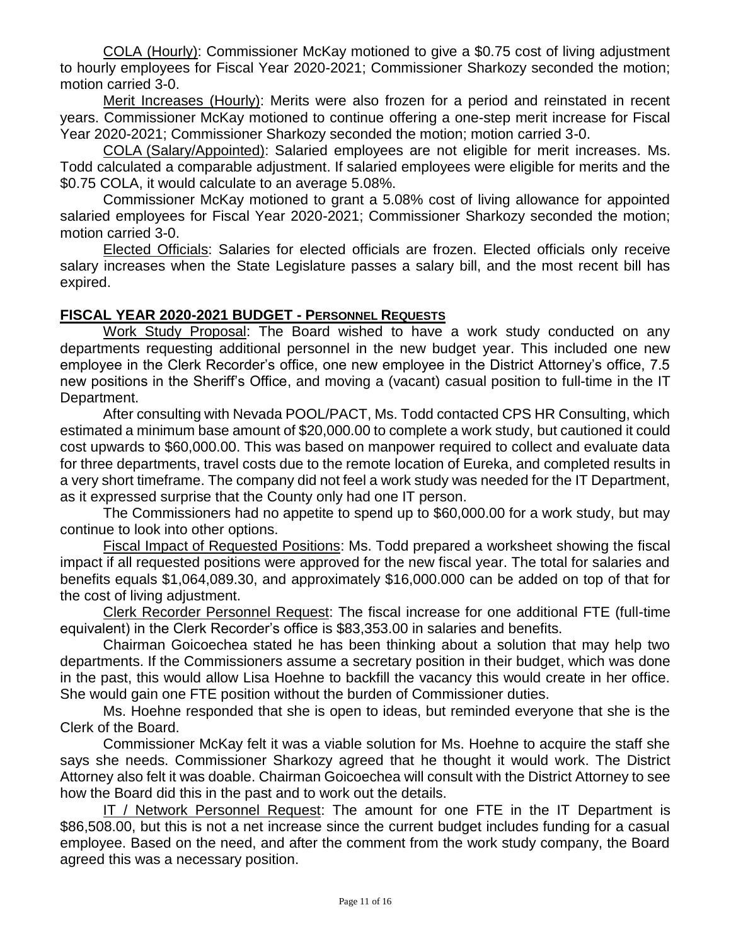COLA (Hourly): Commissioner McKay motioned to give a \$0.75 cost of living adjustment to hourly employees for Fiscal Year 2020-2021; Commissioner Sharkozy seconded the motion; motion carried 3-0.

Merit Increases (Hourly): Merits were also frozen for a period and reinstated in recent years. Commissioner McKay motioned to continue offering a one-step merit increase for Fiscal Year 2020-2021; Commissioner Sharkozy seconded the motion; motion carried 3-0.

COLA (Salary/Appointed): Salaried employees are not eligible for merit increases. Ms. Todd calculated a comparable adjustment. If salaried employees were eligible for merits and the \$0.75 COLA, it would calculate to an average 5.08%.

Commissioner McKay motioned to grant a 5.08% cost of living allowance for appointed salaried employees for Fiscal Year 2020-2021; Commissioner Sharkozy seconded the motion; motion carried 3-0.

Elected Officials: Salaries for elected officials are frozen. Elected officials only receive salary increases when the State Legislature passes a salary bill, and the most recent bill has expired.

### **FISCAL YEAR 2020-2021 BUDGET - PERSONNEL REQUESTS**

Work Study Proposal: The Board wished to have a work study conducted on any departments requesting additional personnel in the new budget year. This included one new employee in the Clerk Recorder's office, one new employee in the District Attorney's office, 7.5 new positions in the Sheriff's Office, and moving a (vacant) casual position to full-time in the IT Department.

After consulting with Nevada POOL/PACT, Ms. Todd contacted CPS HR Consulting, which estimated a minimum base amount of \$20,000.00 to complete a work study, but cautioned it could cost upwards to \$60,000.00. This was based on manpower required to collect and evaluate data for three departments, travel costs due to the remote location of Eureka, and completed results in a very short timeframe. The company did not feel a work study was needed for the IT Department, as it expressed surprise that the County only had one IT person.

The Commissioners had no appetite to spend up to \$60,000.00 for a work study, but may continue to look into other options.

Fiscal Impact of Requested Positions: Ms. Todd prepared a worksheet showing the fiscal impact if all requested positions were approved for the new fiscal year. The total for salaries and benefits equals \$1,064,089.30, and approximately \$16,000.000 can be added on top of that for the cost of living adjustment.

Clerk Recorder Personnel Request: The fiscal increase for one additional FTE (full-time equivalent) in the Clerk Recorder's office is \$83,353.00 in salaries and benefits.

Chairman Goicoechea stated he has been thinking about a solution that may help two departments. If the Commissioners assume a secretary position in their budget, which was done in the past, this would allow Lisa Hoehne to backfill the vacancy this would create in her office. She would gain one FTE position without the burden of Commissioner duties.

Ms. Hoehne responded that she is open to ideas, but reminded everyone that she is the Clerk of the Board.

Commissioner McKay felt it was a viable solution for Ms. Hoehne to acquire the staff she says she needs. Commissioner Sharkozy agreed that he thought it would work. The District Attorney also felt it was doable. Chairman Goicoechea will consult with the District Attorney to see how the Board did this in the past and to work out the details.

IT / Network Personnel Request: The amount for one FTE in the IT Department is \$86,508.00, but this is not a net increase since the current budget includes funding for a casual employee. Based on the need, and after the comment from the work study company, the Board agreed this was a necessary position.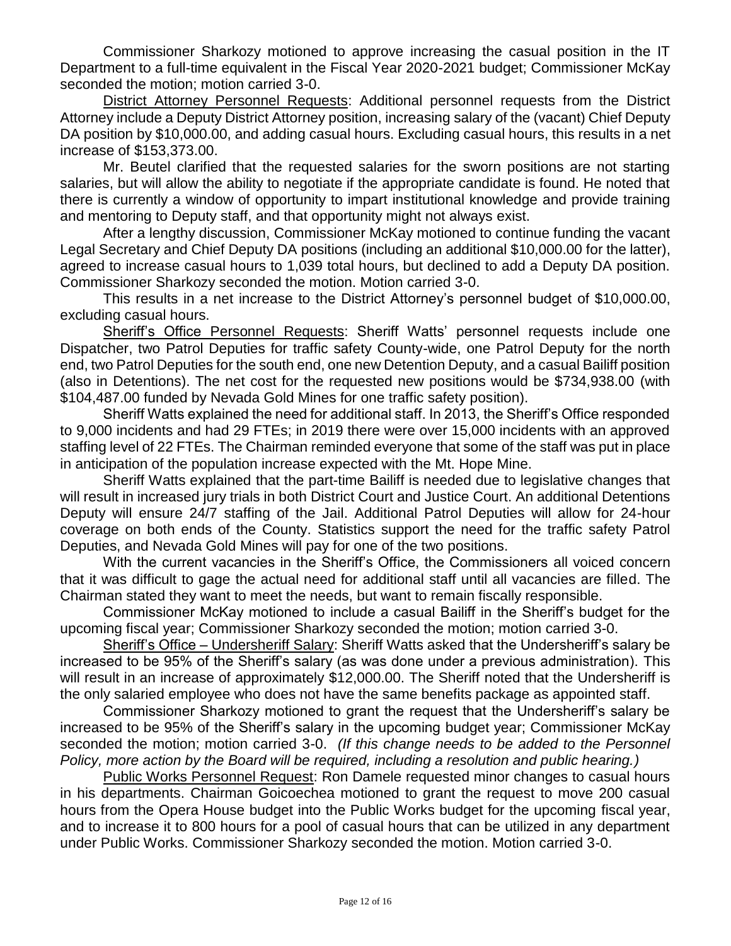Commissioner Sharkozy motioned to approve increasing the casual position in the IT Department to a full-time equivalent in the Fiscal Year 2020-2021 budget; Commissioner McKay seconded the motion; motion carried 3-0.

District Attorney Personnel Requests: Additional personnel requests from the District Attorney include a Deputy District Attorney position, increasing salary of the (vacant) Chief Deputy DA position by \$10,000.00, and adding casual hours. Excluding casual hours, this results in a net increase of \$153,373.00.

Mr. Beutel clarified that the requested salaries for the sworn positions are not starting salaries, but will allow the ability to negotiate if the appropriate candidate is found. He noted that there is currently a window of opportunity to impart institutional knowledge and provide training and mentoring to Deputy staff, and that opportunity might not always exist.

After a lengthy discussion, Commissioner McKay motioned to continue funding the vacant Legal Secretary and Chief Deputy DA positions (including an additional \$10,000.00 for the latter), agreed to increase casual hours to 1,039 total hours, but declined to add a Deputy DA position. Commissioner Sharkozy seconded the motion. Motion carried 3-0.

This results in a net increase to the District Attorney's personnel budget of \$10,000.00, excluding casual hours.

Sheriff's Office Personnel Requests: Sheriff Watts' personnel requests include one Dispatcher, two Patrol Deputies for traffic safety County-wide, one Patrol Deputy for the north end, two Patrol Deputies for the south end, one new Detention Deputy, and a casual Bailiff position (also in Detentions). The net cost for the requested new positions would be \$734,938.00 (with \$104,487.00 funded by Nevada Gold Mines for one traffic safety position).

Sheriff Watts explained the need for additional staff. In 2013, the Sheriff's Office responded to 9,000 incidents and had 29 FTEs; in 2019 there were over 15,000 incidents with an approved staffing level of 22 FTEs. The Chairman reminded everyone that some of the staff was put in place in anticipation of the population increase expected with the Mt. Hope Mine.

Sheriff Watts explained that the part-time Bailiff is needed due to legislative changes that will result in increased jury trials in both District Court and Justice Court. An additional Detentions Deputy will ensure 24/7 staffing of the Jail. Additional Patrol Deputies will allow for 24-hour coverage on both ends of the County. Statistics support the need for the traffic safety Patrol Deputies, and Nevada Gold Mines will pay for one of the two positions.

With the current vacancies in the Sheriff's Office, the Commissioners all voiced concern that it was difficult to gage the actual need for additional staff until all vacancies are filled. The Chairman stated they want to meet the needs, but want to remain fiscally responsible.

Commissioner McKay motioned to include a casual Bailiff in the Sheriff's budget for the upcoming fiscal year; Commissioner Sharkozy seconded the motion; motion carried 3-0.

Sheriff's Office – Undersheriff Salary: Sheriff Watts asked that the Undersheriff's salary be increased to be 95% of the Sheriff's salary (as was done under a previous administration). This will result in an increase of approximately \$12,000.00. The Sheriff noted that the Undersheriff is the only salaried employee who does not have the same benefits package as appointed staff.

Commissioner Sharkozy motioned to grant the request that the Undersheriff's salary be increased to be 95% of the Sheriff's salary in the upcoming budget year; Commissioner McKay seconded the motion; motion carried 3-0. *(If this change needs to be added to the Personnel Policy, more action by the Board will be required, including a resolution and public hearing.)*

Public Works Personnel Request: Ron Damele requested minor changes to casual hours in his departments. Chairman Goicoechea motioned to grant the request to move 200 casual hours from the Opera House budget into the Public Works budget for the upcoming fiscal year, and to increase it to 800 hours for a pool of casual hours that can be utilized in any department under Public Works. Commissioner Sharkozy seconded the motion. Motion carried 3-0.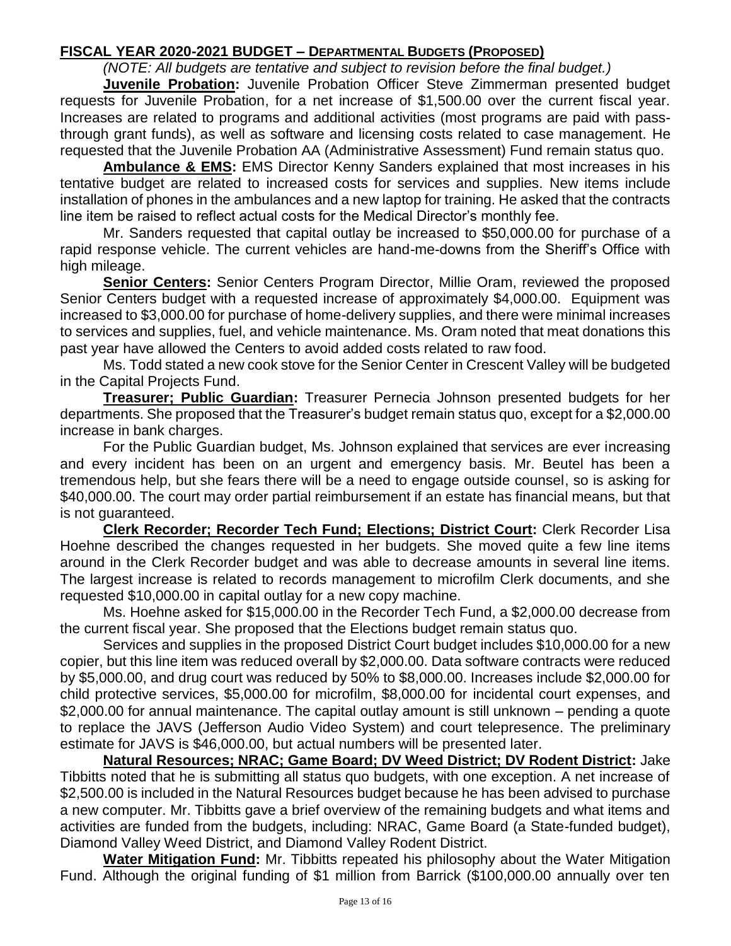# **FISCAL YEAR 2020-2021 BUDGET – DEPARTMENTAL BUDGETS (PROPOSED)**

*(NOTE: All budgets are tentative and subject to revision before the final budget.)*

**Juvenile Probation:** Juvenile Probation Officer Steve Zimmerman presented budget requests for Juvenile Probation, for a net increase of \$1,500.00 over the current fiscal year. Increases are related to programs and additional activities (most programs are paid with passthrough grant funds), as well as software and licensing costs related to case management. He requested that the Juvenile Probation AA (Administrative Assessment) Fund remain status quo.

**Ambulance & EMS:** EMS Director Kenny Sanders explained that most increases in his tentative budget are related to increased costs for services and supplies. New items include installation of phones in the ambulances and a new laptop for training. He asked that the contracts line item be raised to reflect actual costs for the Medical Director's monthly fee.

Mr. Sanders requested that capital outlay be increased to \$50,000.00 for purchase of a rapid response vehicle. The current vehicles are hand-me-downs from the Sheriff's Office with high mileage.

**Senior Centers:** Senior Centers Program Director, Millie Oram, reviewed the proposed Senior Centers budget with a requested increase of approximately \$4,000.00. Equipment was increased to \$3,000.00 for purchase of home-delivery supplies, and there were minimal increases to services and supplies, fuel, and vehicle maintenance. Ms. Oram noted that meat donations this past year have allowed the Centers to avoid added costs related to raw food.

Ms. Todd stated a new cook stove for the Senior Center in Crescent Valley will be budgeted in the Capital Projects Fund.

**Treasurer; Public Guardian:** Treasurer Pernecia Johnson presented budgets for her departments. She proposed that the Treasurer's budget remain status quo, except for a \$2,000.00 increase in bank charges.

For the Public Guardian budget, Ms. Johnson explained that services are ever increasing and every incident has been on an urgent and emergency basis. Mr. Beutel has been a tremendous help, but she fears there will be a need to engage outside counsel, so is asking for \$40,000.00. The court may order partial reimbursement if an estate has financial means, but that is not guaranteed.

**Clerk Recorder; Recorder Tech Fund; Elections; District Court:** Clerk Recorder Lisa Hoehne described the changes requested in her budgets. She moved quite a few line items around in the Clerk Recorder budget and was able to decrease amounts in several line items. The largest increase is related to records management to microfilm Clerk documents, and she requested \$10,000.00 in capital outlay for a new copy machine.

Ms. Hoehne asked for \$15,000.00 in the Recorder Tech Fund, a \$2,000.00 decrease from the current fiscal year. She proposed that the Elections budget remain status quo.

Services and supplies in the proposed District Court budget includes \$10,000.00 for a new copier, but this line item was reduced overall by \$2,000.00. Data software contracts were reduced by \$5,000.00, and drug court was reduced by 50% to \$8,000.00. Increases include \$2,000.00 for child protective services, \$5,000.00 for microfilm, \$8,000.00 for incidental court expenses, and \$2,000.00 for annual maintenance. The capital outlay amount is still unknown – pending a quote to replace the JAVS (Jefferson Audio Video System) and court telepresence. The preliminary estimate for JAVS is \$46,000.00, but actual numbers will be presented later.

**Natural Resources; NRAC; Game Board; DV Weed District; DV Rodent District:** Jake Tibbitts noted that he is submitting all status quo budgets, with one exception. A net increase of \$2,500.00 is included in the Natural Resources budget because he has been advised to purchase a new computer. Mr. Tibbitts gave a brief overview of the remaining budgets and what items and activities are funded from the budgets, including: NRAC, Game Board (a State-funded budget), Diamond Valley Weed District, and Diamond Valley Rodent District.

**Water Mitigation Fund:** Mr. Tibbitts repeated his philosophy about the Water Mitigation Fund. Although the original funding of \$1 million from Barrick (\$100,000.00 annually over ten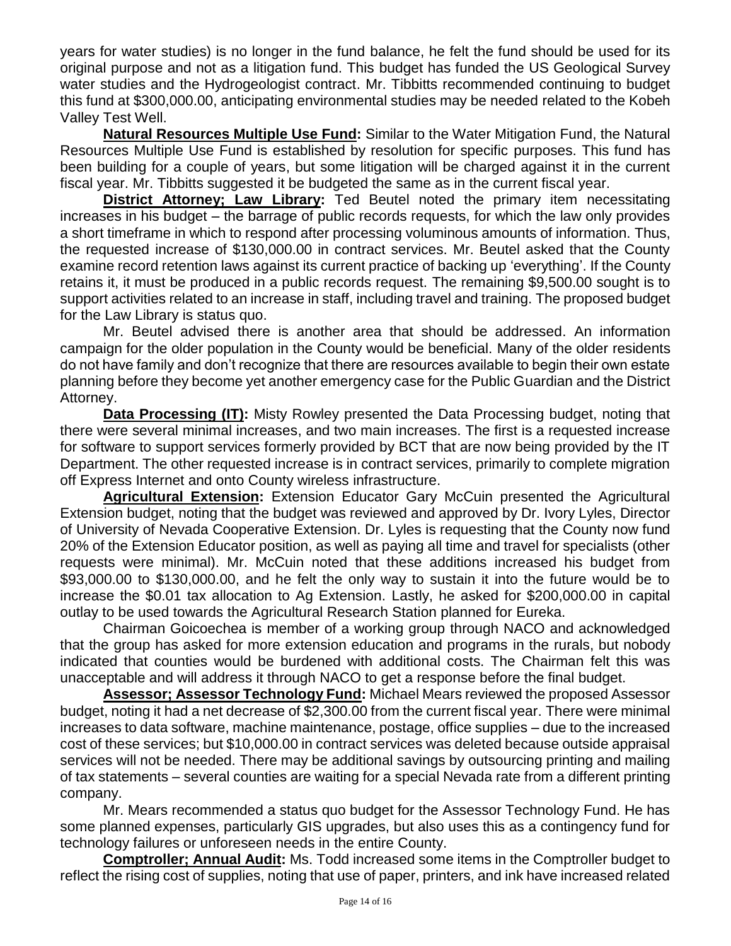years for water studies) is no longer in the fund balance, he felt the fund should be used for its original purpose and not as a litigation fund. This budget has funded the US Geological Survey water studies and the Hydrogeologist contract. Mr. Tibbitts recommended continuing to budget this fund at \$300,000.00, anticipating environmental studies may be needed related to the Kobeh Valley Test Well.

**Natural Resources Multiple Use Fund:** Similar to the Water Mitigation Fund, the Natural Resources Multiple Use Fund is established by resolution for specific purposes. This fund has been building for a couple of years, but some litigation will be charged against it in the current fiscal year. Mr. Tibbitts suggested it be budgeted the same as in the current fiscal year.

**District Attorney; Law Library:** Ted Beutel noted the primary item necessitating increases in his budget – the barrage of public records requests, for which the law only provides a short timeframe in which to respond after processing voluminous amounts of information. Thus, the requested increase of \$130,000.00 in contract services. Mr. Beutel asked that the County examine record retention laws against its current practice of backing up 'everything'. If the County retains it, it must be produced in a public records request. The remaining \$9,500.00 sought is to support activities related to an increase in staff, including travel and training. The proposed budget for the Law Library is status quo.

Mr. Beutel advised there is another area that should be addressed. An information campaign for the older population in the County would be beneficial. Many of the older residents do not have family and don't recognize that there are resources available to begin their own estate planning before they become yet another emergency case for the Public Guardian and the District Attorney.

**Data Processing (IT):** Misty Rowley presented the Data Processing budget, noting that there were several minimal increases, and two main increases. The first is a requested increase for software to support services formerly provided by BCT that are now being provided by the IT Department. The other requested increase is in contract services, primarily to complete migration off Express Internet and onto County wireless infrastructure.

**Agricultural Extension:** Extension Educator Gary McCuin presented the Agricultural Extension budget, noting that the budget was reviewed and approved by Dr. Ivory Lyles, Director of University of Nevada Cooperative Extension. Dr. Lyles is requesting that the County now fund 20% of the Extension Educator position, as well as paying all time and travel for specialists (other requests were minimal). Mr. McCuin noted that these additions increased his budget from \$93,000.00 to \$130,000.00, and he felt the only way to sustain it into the future would be to increase the \$0.01 tax allocation to Ag Extension. Lastly, he asked for \$200,000.00 in capital outlay to be used towards the Agricultural Research Station planned for Eureka.

Chairman Goicoechea is member of a working group through NACO and acknowledged that the group has asked for more extension education and programs in the rurals, but nobody indicated that counties would be burdened with additional costs. The Chairman felt this was unacceptable and will address it through NACO to get a response before the final budget.

**Assessor; Assessor Technology Fund:** Michael Mears reviewed the proposed Assessor budget, noting it had a net decrease of \$2,300.00 from the current fiscal year. There were minimal increases to data software, machine maintenance, postage, office supplies – due to the increased cost of these services; but \$10,000.00 in contract services was deleted because outside appraisal services will not be needed. There may be additional savings by outsourcing printing and mailing of tax statements – several counties are waiting for a special Nevada rate from a different printing company.

Mr. Mears recommended a status quo budget for the Assessor Technology Fund. He has some planned expenses, particularly GIS upgrades, but also uses this as a contingency fund for technology failures or unforeseen needs in the entire County.

**Comptroller; Annual Audit:** Ms. Todd increased some items in the Comptroller budget to reflect the rising cost of supplies, noting that use of paper, printers, and ink have increased related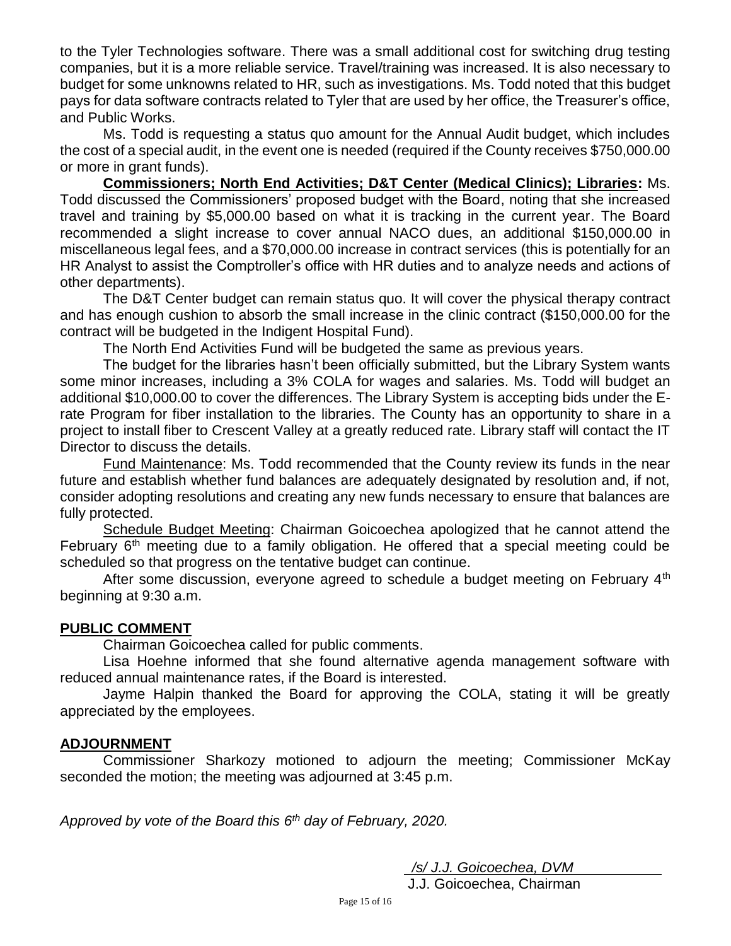to the Tyler Technologies software. There was a small additional cost for switching drug testing companies, but it is a more reliable service. Travel/training was increased. It is also necessary to budget for some unknowns related to HR, such as investigations. Ms. Todd noted that this budget pays for data software contracts related to Tyler that are used by her office, the Treasurer's office, and Public Works.

Ms. Todd is requesting a status quo amount for the Annual Audit budget, which includes the cost of a special audit, in the event one is needed (required if the County receives \$750,000.00 or more in grant funds).

**Commissioners; North End Activities; D&T Center (Medical Clinics); Libraries:** Ms. Todd discussed the Commissioners' proposed budget with the Board, noting that she increased travel and training by \$5,000.00 based on what it is tracking in the current year. The Board recommended a slight increase to cover annual NACO dues, an additional \$150,000.00 in miscellaneous legal fees, and a \$70,000.00 increase in contract services (this is potentially for an HR Analyst to assist the Comptroller's office with HR duties and to analyze needs and actions of other departments).

The D&T Center budget can remain status quo. It will cover the physical therapy contract and has enough cushion to absorb the small increase in the clinic contract (\$150,000.00 for the contract will be budgeted in the Indigent Hospital Fund).

The North End Activities Fund will be budgeted the same as previous years.

The budget for the libraries hasn't been officially submitted, but the Library System wants some minor increases, including a 3% COLA for wages and salaries. Ms. Todd will budget an additional \$10,000.00 to cover the differences. The Library System is accepting bids under the Erate Program for fiber installation to the libraries. The County has an opportunity to share in a project to install fiber to Crescent Valley at a greatly reduced rate. Library staff will contact the IT Director to discuss the details.

Fund Maintenance: Ms. Todd recommended that the County review its funds in the near future and establish whether fund balances are adequately designated by resolution and, if not, consider adopting resolutions and creating any new funds necessary to ensure that balances are fully protected.

Schedule Budget Meeting: Chairman Goicoechea apologized that he cannot attend the February  $6<sup>th</sup>$  meeting due to a family obligation. He offered that a special meeting could be scheduled so that progress on the tentative budget can continue.

After some discussion, everyone agreed to schedule a budget meeting on February 4<sup>th</sup> beginning at 9:30 a.m.

### **PUBLIC COMMENT**

Chairman Goicoechea called for public comments.

Lisa Hoehne informed that she found alternative agenda management software with reduced annual maintenance rates, if the Board is interested.

Jayme Halpin thanked the Board for approving the COLA, stating it will be greatly appreciated by the employees.

#### **ADJOURNMENT**

Commissioner Sharkozy motioned to adjourn the meeting; Commissioner McKay seconded the motion; the meeting was adjourned at 3:45 p.m.

*Approved by vote of the Board this 6 th day of February, 2020.* 

 */s/ J.J. Goicoechea, DVM*

J.J. Goicoechea, Chairman